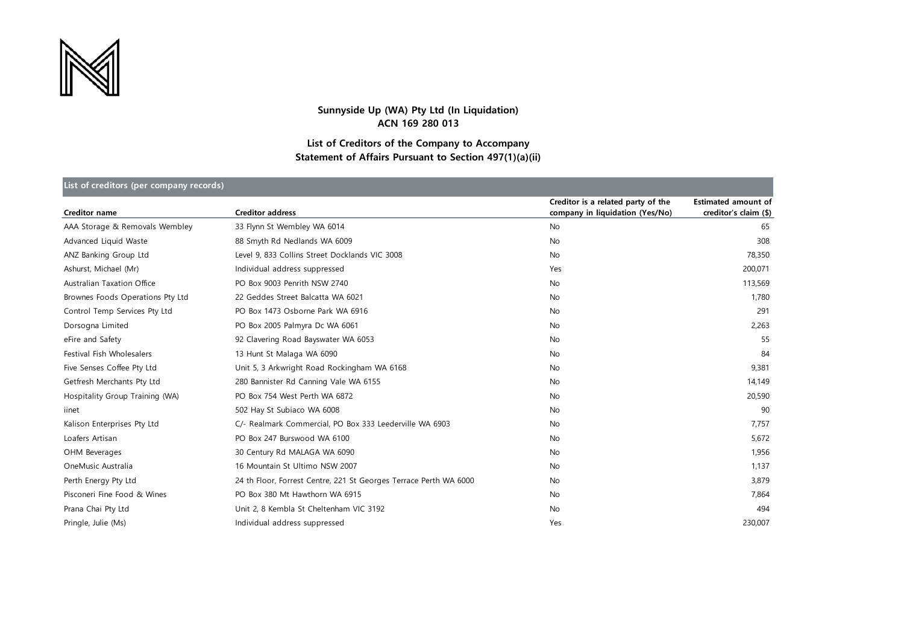

## **Sunnyside Up (WA) Pty Ltd (In Liquidation) ACN 169 280 013**

## **List of Creditors of the Company to Accompany Statement of Affairs Pursuant to Section 497(1)(a)(ii)**

| List of creditors (per company records) |                                                                   |                                                                       |                                                     |  |  |
|-----------------------------------------|-------------------------------------------------------------------|-----------------------------------------------------------------------|-----------------------------------------------------|--|--|
| <b>Creditor name</b>                    | <b>Creditor address</b>                                           | Creditor is a related party of the<br>company in liquidation (Yes/No) | <b>Estimated amount of</b><br>creditor's claim (\$) |  |  |
| AAA Storage & Removals Wembley          | 33 Flynn St Wembley WA 6014                                       | No                                                                    | 65                                                  |  |  |
| Advanced Liquid Waste                   | 88 Smyth Rd Nedlands WA 6009                                      | <b>No</b>                                                             | 308                                                 |  |  |
| ANZ Banking Group Ltd                   | Level 9, 833 Collins Street Docklands VIC 3008                    | <b>No</b>                                                             | 78,350                                              |  |  |
| Ashurst, Michael (Mr)                   | Individual address suppressed                                     | Yes                                                                   | 200,071                                             |  |  |
| Australian Taxation Office              | PO Box 9003 Penrith NSW 2740                                      | <b>No</b>                                                             | 113,569                                             |  |  |
| Brownes Foods Operations Pty Ltd        | 22 Geddes Street Balcatta WA 6021                                 | <b>No</b>                                                             | 1,780                                               |  |  |
| Control Temp Services Pty Ltd           | PO Box 1473 Osborne Park WA 6916                                  | <b>No</b>                                                             | 291                                                 |  |  |
| Dorsogna Limited                        | PO Box 2005 Palmyra Dc WA 6061                                    | <b>No</b>                                                             | 2,263                                               |  |  |
| eFire and Safety                        | 92 Clavering Road Bayswater WA 6053                               | No                                                                    | 55                                                  |  |  |
| Festival Fish Wholesalers               | 13 Hunt St Malaga WA 6090                                         | <b>No</b>                                                             | 84                                                  |  |  |
| Five Senses Coffee Pty Ltd              | Unit 5, 3 Arkwright Road Rockingham WA 6168                       | No                                                                    | 9,381                                               |  |  |
| Getfresh Merchants Pty Ltd              | 280 Bannister Rd Canning Vale WA 6155                             | <b>No</b>                                                             | 14,149                                              |  |  |
| Hospitality Group Training (WA)         | PO Box 754 West Perth WA 6872                                     | <b>No</b>                                                             | 20,590                                              |  |  |
| iinet                                   | 502 Hay St Subiaco WA 6008                                        | <b>No</b>                                                             | 90                                                  |  |  |
| Kalison Enterprises Pty Ltd             | C/- Realmark Commercial, PO Box 333 Leederville WA 6903           | <b>No</b>                                                             | 7,757                                               |  |  |
| Loafers Artisan                         | PO Box 247 Burswood WA 6100                                       | <b>No</b>                                                             | 5,672                                               |  |  |
| OHM Beverages                           | 30 Century Rd MALAGA WA 6090                                      | <b>No</b>                                                             | 1,956                                               |  |  |
| OneMusic Australia                      | 16 Mountain St Ultimo NSW 2007                                    | No                                                                    | 1,137                                               |  |  |
| Perth Energy Pty Ltd                    | 24 th Floor, Forrest Centre, 221 St Georges Terrace Perth WA 6000 | <b>No</b>                                                             | 3,879                                               |  |  |
| Pisconeri Fine Food & Wines             | PO Box 380 Mt Hawthorn WA 6915                                    | No                                                                    | 7,864                                               |  |  |
| Prana Chai Pty Ltd                      | Unit 2, 8 Kembla St Cheltenham VIC 3192                           | <b>No</b>                                                             | 494                                                 |  |  |
| Pringle, Julie (Ms)                     | Individual address suppressed                                     | Yes                                                                   | 230,007                                             |  |  |